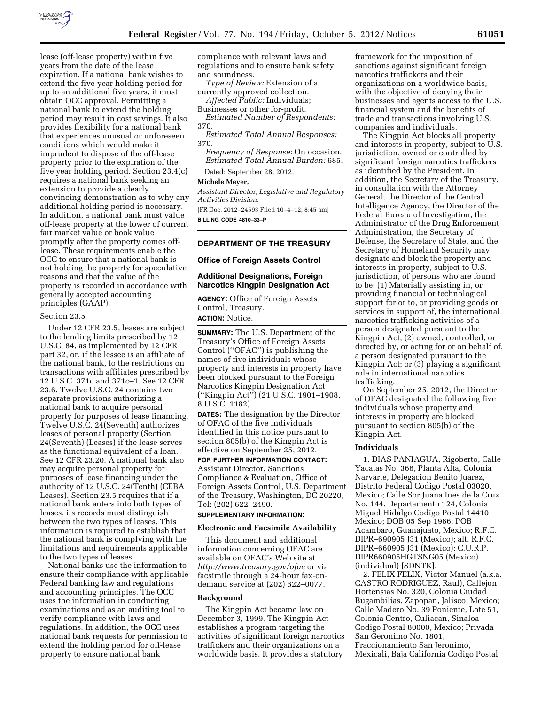

lease (off-lease property) within five years from the date of the lease expiration. If a national bank wishes to extend the five-year holding period for up to an additional five years, it must obtain OCC approval. Permitting a national bank to extend the holding period may result in cost savings. It also provides flexibility for a national bank that experiences unusual or unforeseen conditions which would make it imprudent to dispose of the off-lease property prior to the expiration of the five year holding period. Section 23.4(c) requires a national bank seeking an extension to provide a clearly convincing demonstration as to why any additional holding period is necessary. In addition, a national bank must value off-lease property at the lower of current fair market value or book value promptly after the property comes offlease. These requirements enable the OCC to ensure that a national bank is not holding the property for speculative reasons and that the value of the property is recorded in accordance with generally accepted accounting principles (GAAP).

#### Section 23.5

Under 12 CFR 23.5, leases are subject to the lending limits prescribed by 12 U.S.C. 84, as implemented by 12 CFR part 32, or, if the lessee is an affiliate of the national bank, to the restrictions on transactions with affiliates prescribed by 12 U.S.C. 371c and 371c–1. See 12 CFR 23.6. Twelve U.S.C. 24 contains two separate provisions authorizing a national bank to acquire personal property for purposes of lease financing. Twelve U.S.C. 24(Seventh) authorizes leases of personal property (Section 24(Seventh) (Leases) if the lease serves as the functional equivalent of a loan. See 12 CFR 23.20. A national bank also may acquire personal property for purposes of lease financing under the authority of 12 U.S.C. 24(Tenth) (CEBA Leases). Section 23.5 requires that if a national bank enters into both types of leases, its records must distinguish between the two types of leases. This information is required to establish that the national bank is complying with the limitations and requirements applicable to the two types of leases.

National banks use the information to ensure their compliance with applicable Federal banking law and regulations and accounting principles. The OCC uses the information in conducting examinations and as an auditing tool to verify compliance with laws and regulations. In addition, the OCC uses national bank requests for permission to extend the holding period for off-lease property to ensure national bank

compliance with relevant laws and regulations and to ensure bank safety and soundness.

*Type of Review:* Extension of a currently approved collection. *Affected Public:* Individuals;

Businesses or other for-profit.

*Estimated Number of Respondents:*  370.

*Estimated Total Annual Responses:*  370.

*Frequency of Response:* On occasion. *Estimated Total Annual Burden:* 685.

Dated: September 28, 2012.

#### **Michele Meyer,**

*Assistant Director, Legislative and Regulatory Activities Division.* 

[FR Doc. 2012–24593 Filed 10–4–12; 8:45 am] **BILLING CODE 4810–33–P** 

## **DEPARTMENT OF THE TREASURY**

#### **Office of Foreign Assets Control**

#### **Additional Designations, Foreign Narcotics Kingpin Designation Act**

**AGENCY:** Office of Foreign Assets Control, Treasury. **ACTION:** Notice.

**SUMMARY:** The U.S. Department of the Treasury's Office of Foreign Assets Control (''OFAC'') is publishing the names of five individuals whose property and interests in property have been blocked pursuant to the Foreign Narcotics Kingpin Designation Act (''Kingpin Act'') (21 U.S.C. 1901–1908, 8 U.S.C. 1182).

**DATES:** The designation by the Director of OFAC of the five individuals identified in this notice pursuant to section 805(b) of the Kingpin Act is effective on September 25, 2012.

**FOR FURTHER INFORMATION CONTACT:**  Assistant Director, Sanctions Compliance & Evaluation, Office of Foreign Assets Control, U.S. Department of the Treasury, Washington, DC 20220, Tel: (202) 622–2490.

## **SUPPLEMENTARY INFORMATION:**

#### **Electronic and Facsimile Availability**

This document and additional information concerning OFAC are available on OFAC's Web site at *<http://www.treasury.gov/ofac>*or via facsimile through a 24-hour fax-ondemand service at (202) 622–0077.

#### **Background**

The Kingpin Act became law on December 3, 1999. The Kingpin Act establishes a program targeting the activities of significant foreign narcotics traffickers and their organizations on a worldwide basis. It provides a statutory

framework for the imposition of sanctions against significant foreign narcotics traffickers and their organizations on a worldwide basis, with the objective of denying their businesses and agents access to the U.S. financial system and the benefits of trade and transactions involving U.S. companies and individuals.

The Kingpin Act blocks all property and interests in property, subject to U.S. jurisdiction, owned or controlled by significant foreign narcotics traffickers as identified by the President. In addition, the Secretary of the Treasury, in consultation with the Attorney General, the Director of the Central Intelligence Agency, the Director of the Federal Bureau of Investigation, the Administrator of the Drug Enforcement Administration, the Secretary of Defense, the Secretary of State, and the Secretary of Homeland Security may designate and block the property and interests in property, subject to U.S. jurisdiction, of persons who are found to be: (1) Materially assisting in, or providing financial or technological support for or to, or providing goods or services in support of, the international narcotics trafficking activities of a person designated pursuant to the Kingpin Act; (2) owned, controlled, or directed by, or acting for or on behalf of, a person designated pursuant to the Kingpin Act; or (3) playing a significant role in international narcotics trafficking.

On September 25, 2012, the Director of OFAC designated the following five individuals whose property and interests in property are blocked pursuant to section 805(b) of the Kingpin Act.

#### **Individuals**

1. DIAS PANIAGUA, Rigoberto, Calle Yacatas No. 366, Planta Alta, Colonia Narvarte, Delegacion Benito Juarez, Distrito Federal Codigo Postal 03020, Mexico; Calle Sor Juana Ines de la Cruz No. 144, Departamento 124, Colonia Miguel Hidalgo Codigo Postal 14410, Mexico; DOB 05 Sep 1966; POB Acambaro, Guanajuato, Mexico; R.F.C. DIPR–690905 J31 (Mexico); alt. R.F.C. DIPR–660905 J31 (Mexico); C.U.R.P. DIPR660905HGTSNG05 (Mexico) (individual) [SDNTK].

2. FELIX FELIX, Victor Manuel (a.k.a. CASTRO RODRIGUEZ, Raul), Callejon Hortensias No. 320, Colonia Ciudad Bugambilias, Zapopan, Jalisco, Mexico; Calle Madero No. 39 Poniente, Lote 51, Colonia Centro, Culiacan, Sinaloa Codigo Postal 80000, Mexico; Privada San Geronimo No. 1801, Fraccionamiento San Jeronimo, Mexicali, Baja California Codigo Postal